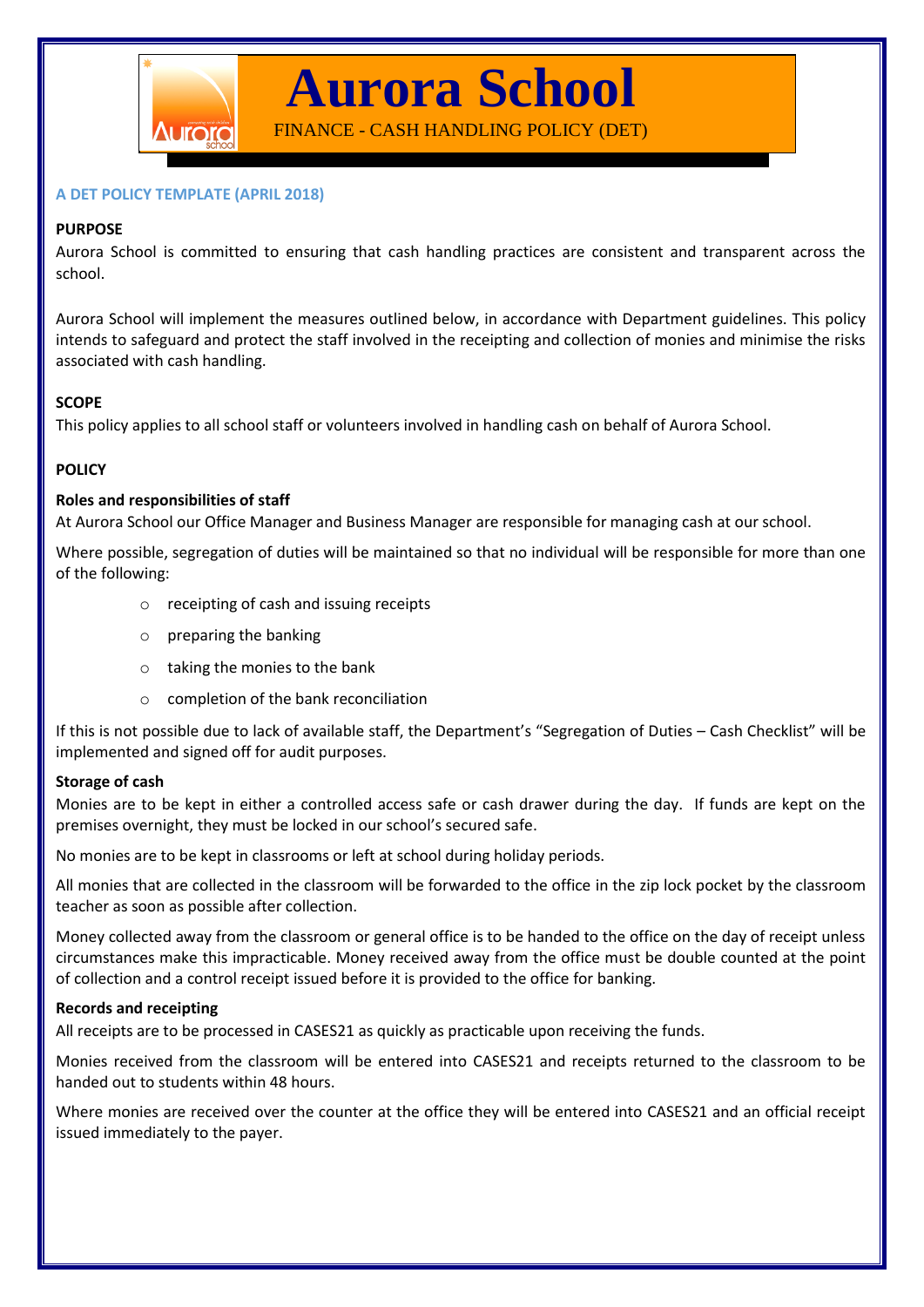

**Aurora School**

FINANCE - CASH HANDLING POLICY (DET)

## **A DET POLICY TEMPLATE (APRIL 2018)**

## **PURPOSE**

Aurora School is committed to ensuring that cash handling practices are consistent and transparent across the school.

Aurora School will implement the measures outlined below, in accordance with Department guidelines. This policy intends to safeguard and protect the staff involved in the receipting and collection of monies and minimise the risks associated with cash handling.

# **SCOPE**

This policy applies to all school staff or volunteers involved in handling cash on behalf of Aurora School.

# **POLICY**

# **Roles and responsibilities of staff**

At Aurora School our Office Manager and Business Manager are responsible for managing cash at our school.

Where possible, segregation of duties will be maintained so that no individual will be responsible for more than one of the following:

- o receipting of cash and issuing receipts
- o preparing the banking
- o taking the monies to the bank
- o completion of the bank reconciliation

If this is not possible due to lack of available staff, the Department's "Segregation of Duties – Cash Checklist" will be implemented and signed off for audit purposes.

## **Storage of cash**

Monies are to be kept in either a controlled access safe or cash drawer during the day. If funds are kept on the premises overnight, they must be locked in our school's secured safe.

No monies are to be kept in classrooms or left at school during holiday periods.

All monies that are collected in the classroom will be forwarded to the office in the zip lock pocket by the classroom teacher as soon as possible after collection.

Money collected away from the classroom or general office is to be handed to the office on the day of receipt unless circumstances make this impracticable. Money received away from the office must be double counted at the point of collection and a control receipt issued before it is provided to the office for banking.

## **Records and receipting**

All receipts are to be processed in CASES21 as quickly as practicable upon receiving the funds.

Monies received from the classroom will be entered into CASES21 and receipts returned to the classroom to be handed out to students within 48 hours.

Where monies are received over the counter at the office they will be entered into CASES21 and an official receipt issued immediately to the payer.